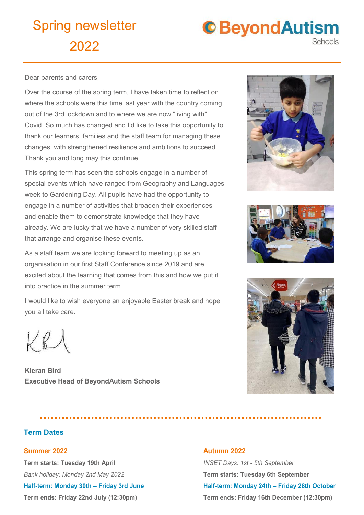

Dear parents and carers,

Over the course of the spring term, I have taken time to reflect on where the schools were this time last year with the country coming out of the 3rd lockdown and to where we are now "living with" Covid. So much has changed and I'd like to take this opportunity to thank our learners, families and the staff team for managing these changes, with strengthened resilience and ambitions to succeed. Thank you and long may this continue.

This spring term has seen the schools engage in a number of special events which have ranged from Geography and Languages week to Gardening Day. All pupils have had the opportunity to engage in a number of activities that broaden their experiences and enable them to demonstrate knowledge that they have already. We are lucky that we have a number of very skilled staff that arrange and organise these events.

As a staff team we are looking forward to meeting up as an organisation in our first Staff Conference since 2019 and are excited about the learning that comes from this and how we put it into practice in the summer term.

I would like to wish everyone an enjoyable Easter break and hope you all take care.

 $KB$ 

**Kieran Bird Executive Head of BeyondAutism Schools**

### **Term Dates**

#### **Summer 2022**

**Term starts: Tuesday 19th April** *Bank holiday: Monday 2nd May 2022*

**Half-term: Monday 30th – Friday 3rd June**

**Term ends: Friday 22nd July (12:30pm)** 







#### **Autumn 2022**

*INSET Days: 1st - 5th September* **Term starts: Tuesday 6th September Half-term: Monday 24th – Friday 28th October Term ends: Friday 16th December (12:30pm)**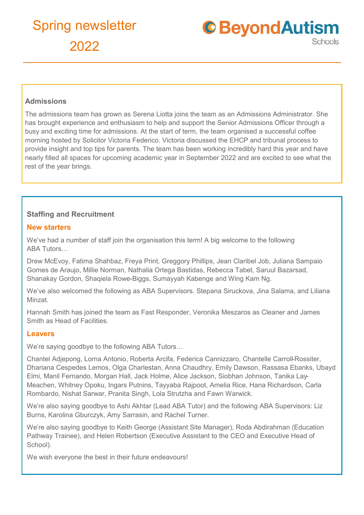

### **Admissions**

The admissions team has grown as Serena Liotta joins the team as an Admissions Administrator. She has brought experience and enthusiasm to help and support the Senior Admissions Officer through a busy and exciting time for admissions. At the start of term, the team organised a successful coffee morning hosted by Solicitor Victoria Federico. Victoria discussed the EHCP and tribunal process to provide insight and top tips for parents. The team has been working incredibly hard this year and have nearly filled all spaces for upcoming academic year in September 2022 and are excited to see what the rest of the year brings.

### **Staffing and Recruitment**

#### **New starters**

We've had a number of staff join the organisation this term! A big welcome to the following ABA Tutors…

Drew McEvoy, Fatima Shahbaz, Freya Print, Greggory Phillips, Jean Claribel Job, Juliana Sampaio Gomes de Araujo, Millie Norman, Nathalia Ortega Bastidas, Rebecca Tabet, Saruul Bazarsad, Shanakay Gordon, Shaqiela Rowe-Biggs, Sumayyah Kabenge and Wing Kam Ng.

We've also welcomed the following as ABA Supervisors. Stepana Siruckova, Jina Salama, and Liliana Minzat.

Hannah Smith has joined the team as Fast Responder, Veronika Meszaros as Cleaner and James Smith as Head of Facilities.

#### **Leavers**

We're saying goodbye to the following ABA Tutors…

Chantel Adjepong, Lorna Antonio, Roberta Arcifa, Federica Cannizzaro, Chantelle Carroll-Rossiter, Dhariana Cespedes Lemos, Olga Charlestan, Anna Chaudhry, Emily Dawson, Rassasa Ebanks, Ubayd Elmi, Manil Fernando, Morgan Hall, Jack Holme, Alice Jackson, Siobhan Johnson, Tanika Lay-Meachen, Whitney Opoku, Ingars Putnins, Tayyaba Rajpoot, Amelia Rice, Hana Richardson, Carla Rombardo, Nishat Sarwar, Pranita Singh, Lola Strutzha and Fawn Warwick.

We're also saying goodbye to Ashi Akhtar (Lead ABA Tutor) and the following ABA Supervisors: Liz Burns, Karolina Gburczyk, Amy Sarrasin, and Rachel Turner.

We're also saying goodbye to Keith George (Assistant Site Manager), Roda Abdirahman (Education Pathway Trainee), and Helen Robertson (Executive Assistant to the CEO and Executive Head of School).

We wish everyone the best in their future endeavours!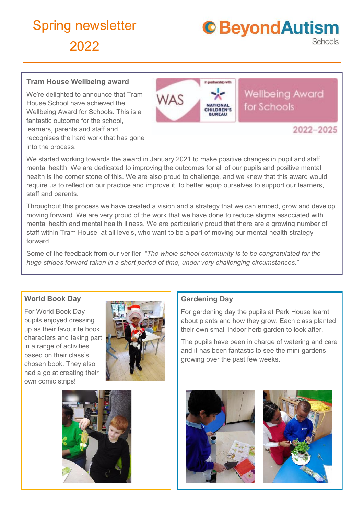

### **Tram House Wellbeing award**

We're delighted to announce that Tram House School have achieved the Wellbeing Award for Schools. This is a fantastic outcome for the school, learners, parents and staff and recognises the hard work that has gone into the process.

## **Wellbeing Award WAS** for Schools **ATIONA** *RUREAU* 2022-2025

We started working towards the award in January 2021 to make positive changes in pupil and staff mental health. We are dedicated to improving the outcomes for all of our pupils and positive mental health is the corner stone of this. We are also proud to challenge, and we knew that this award would require us to reflect on our practice and improve it, to better equip ourselves to support our learners, staff and parents.

Throughout this process we have created a vision and a strategy that we can embed, grow and develop moving forward. We are very proud of the work that we have done to reduce stigma associated with mental health and mental health illness. We are particularly proud that there are a growing number of staff within Tram House, at all levels, who want to be a part of moving our mental health strategy forward.

Some of the feedback from our verifier: *"The whole school community is to be congratulated for the huge strides forward taken in a short period of time, under very challenging circumstances."*

#### **World Book Day**

For World Book Day pupils enjoyed dressing up as their favourite book characters and taking part in a range of activities based on their class's chosen book. They also had a go at creating their own comic strips!



## **Gardening Day**

For gardening day the pupils at Park House learnt about plants and how they grow. Each class planted their own small indoor herb garden to look after.

The pupils have been in charge of watering and care and it has been fantastic to see the mini-gardens growing over the past few weeks.





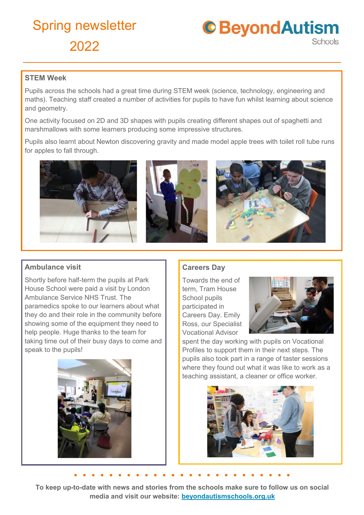**C**BeyondAutism Schools

### **STEM Week**

Pupils across the schools had a great time during STEM week (science, technology, engineering and maths). Teaching staff created a number of activities for pupils to have fun whilst learning about science and geometry.

One activity focused on 2D and 3D shapes with pupils creating different shapes out of spaghetti and marshmallows with some learners producing some impressive structures.

Pupils also learnt about Newton discovering gravity and made model apple trees with toilet roll tube runs for apples to fall through.



## **Ambulance visit**

Shortly before half-term the pupils at Park House School were paid a visit by London Ambulance Service NHS Trust. The paramedics spoke to our learners about what they do and their role in the community before showing some of the equipment they need to help people. Huge thanks to the team for taking time out of their busy days to come and speak to the pupils!



## **Careers Day**

Towards the end of term, Tram House School pupils participated in Careers Day. Emily Ross, our Specialist Vocational Advisor



spent the day working with pupils on Vocational Profiles to support them in their next steps. The pupils also took part in a range of taster sessions where they found out what it was like to work as a teaching assistant, a cleaner or office worker.



**To keep up-to-date with news and stories from the schools make sure to follow us on social media and visit our website: beyondautismschools.org.uk**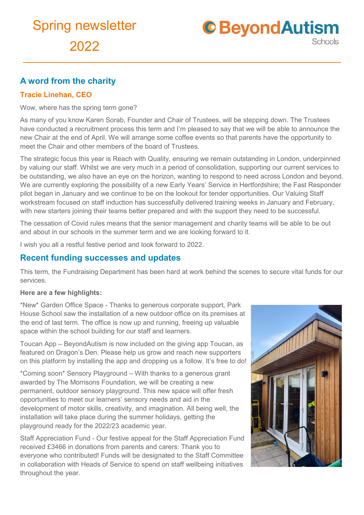

## **A word from the charity**

## **Tracie Linehan, CEO**

Wow, where has the spring term gone?

As many of you know Karen Sorab, Founder and Chair of Trustees, will be stepping down. The Trustees have conducted a recruitment process this term and I'm pleased to say that we will be able to announce the new Chair at the end of April. We will arrange some coffee events so that parents have the opportunity to meet the Chair and other members of the board of Trustees.

The strategic focus this year is Reach with Quality, ensuring we remain outstanding in London, underpinned by valuing our staff. Whilst we are very much in a period of consolidation, supporting our current services to be outstanding, we also have an eye on the horizon, wanting to respond to need across London and beyond. We are currently exploring the possibility of a new Early Years' Service in Hertfordshire; the Fast Responder pilot began in January and we continue to be on the lookout for tender opportunities. Our Valuing Staff workstream focused on staff induction has successfully delivered training weeks in January and February, with new starters joining their teams better prepared and with the support they need to be successful.

The cessation of Covid rules means that the senior management and charity teams will be able to be out and about in our schools in the summer term and we are looking forward to it.

I wish you all a restful festive period and look forward to 2022.

## **Recent funding successes and updates**

This term, the Fundraising Department has been hard at work behind the scenes to secure vital funds for our services.

#### **Here are a few highlights:**

\*New\* Garden Office Space - Thanks to generous corporate support, Park House School saw the installation of a new outdoor office on its premises at the end of last term. The office is now up and running, freeing up valuable space within the school building for our staff and learners.

Toucan App – BeyondAutism is now included on the giving app Toucan, as featured on Dragon's Den. Please help us grow and reach new supporters on this platform by installing the app and dropping us a follow. It's free to do!

\*Coming soon\* Sensory Playground – With thanks to a generous grant awarded by The Morrisons Foundation, we will be creating a new permanent, outdoor sensory playground. This new space will offer fresh opportunities to meet our learners' sensory needs and aid in the development of motor skills, creativity, and imagination. All being well, the installation will take place during the summer holidays, getting the playground ready for the 2022/23 academic year.

Staff Appreciation Fund - Our festive appeal for the Staff Appreciation Fund received £3466 in donations from parents and carers: Thank you to everyone who contributed! Funds will be designated to the Staff Committee in collaboration with Heads of Service to spend on staff wellbeing initiatives throughout the year.